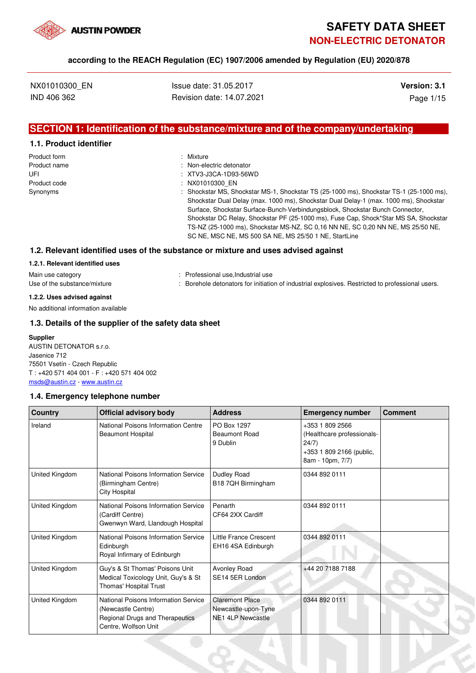

# **SAFETY DATA SHEET NON-ELECTRIC DETONATOR**

### **according to the REACH Regulation (EC) 1907/2006 amended by Regulation (EU) 2020/878**

NX01010300 EN **ISSUE date: 31.05.2017 Version: 3.1** IND 406 362 Revision date: 14.07.2021 Page 1/15

# **SECTION 1: Identification of the substance/mixture and of the company/undertaking**

### **1.1. Product identifier**

| Product form | : Mixture                                                                                                                                                                                                                                                                                                                                                                                                                                                                                             |
|--------------|-------------------------------------------------------------------------------------------------------------------------------------------------------------------------------------------------------------------------------------------------------------------------------------------------------------------------------------------------------------------------------------------------------------------------------------------------------------------------------------------------------|
| Product name | : Non-electric detonator                                                                                                                                                                                                                                                                                                                                                                                                                                                                              |
| UFI          | : XTV3-J3CA-1D93-56WD                                                                                                                                                                                                                                                                                                                                                                                                                                                                                 |
| Product code | : NX01010300 EN                                                                                                                                                                                                                                                                                                                                                                                                                                                                                       |
| Synonyms     | : Shockstar MS, Shockstar MS-1, Shockstar TS (25-1000 ms), Shockstar TS-1 (25-1000 ms),<br>Shockstar Dual Delay (max. 1000 ms), Shockstar Dual Delay-1 (max. 1000 ms), Shockstar<br>Surface, Shockstar Surface-Bunch-Verbindungsblock, Shockstar Bunch Connector,<br>Shockstar DC Relay, Shockstar PF (25-1000 ms), Fuse Cap, Shock*Star MS SA, Shockstar<br>TS-NZ (25-1000 ms), Shockstar MS-NZ, SC 0.16 NN NE, SC 0.20 NN NE, MS 25/50 NE,<br>SC NE, MSC NE, MS 500 SA NE, MS 25/50 1 NE, StartLine |

### **1.2. Relevant identified uses of the substance or mixture and uses advised against**

### **1.2.1. Relevant identified uses**

| Main use category            | : Professional use, Industrial use                                                               |  |
|------------------------------|--------------------------------------------------------------------------------------------------|--|
| Use of the substance/mixture | : Borehole detonators for initiation of industrial explosives. Restricted to professional users. |  |

### **1.2.2. Uses advised against**

No additional information available

### **1.3. Details of the supplier of the safety data sheet**

### **Supplier**

AUSTIN DETONATOR s.r.o. Jasenice 712 75501 Vsetín - Czech Republic T : +420 571 404 001 - F : +420 571 404 002 msds@austin.cz - www.austin.cz

### **1.4. Emergency telephone number**

| <b>Country</b> | <b>Official advisory body</b>                                                                                         | <b>Address</b>                                                            | <b>Emergency number</b>                                                                                | <b>Comment</b> |
|----------------|-----------------------------------------------------------------------------------------------------------------------|---------------------------------------------------------------------------|--------------------------------------------------------------------------------------------------------|----------------|
| Ireland        | National Poisons Information Centre<br><b>Beaumont Hospital</b>                                                       | PO Box 1297<br>Beaumont Road<br>9 Dublin                                  | +353 1 809 2566<br>(Healthcare professionals-<br>24/7)<br>+353 1 809 2166 (public,<br>8am - 10pm, 7/7) |                |
| United Kingdom | National Poisons Information Service<br>(Birmingham Centre)<br><b>City Hospital</b>                                   | <b>Dudley Road</b><br>B18 7QH Birmingham                                  | 0344 892 0111                                                                                          |                |
| United Kingdom | National Poisons Information Service<br>(Cardiff Centre)<br>Gwenwyn Ward, Llandough Hospital                          | Penarth<br>CF64 2XX Cardiff                                               | 0344 892 0111                                                                                          |                |
| United Kingdom | National Poisons Information Service<br>Edinburgh<br>Royal Infirmary of Edinburgh                                     | <b>Little France Crescent</b><br>EH16 4SA Edinburgh                       | 0344 892 0111                                                                                          |                |
| United Kingdom | Guy's & St Thomas' Poisons Unit<br>Medical Toxicology Unit, Guy's & St<br>Thomas' Hospital Trust                      | Avonley Road<br>SE14 5ER London                                           | +44 20 7188 7188                                                                                       |                |
| United Kingdom | National Poisons Information Service<br>(Newcastle Centre)<br>Regional Drugs and Therapeutics<br>Centre, Wolfson Unit | <b>Claremont Place</b><br>Newcastle-upon-Tyne<br><b>NE1 4LP Newcastle</b> | 0344 892 0111                                                                                          |                |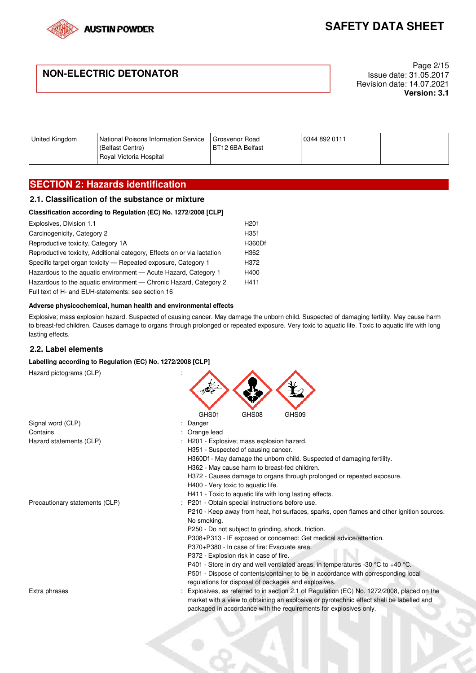

# **NON-ELECTRIC DETONATOR**

Page 2/15 Issue date: 31.05.2017 Revision date: 14.07.2021 **Version: 3.1**

| United Kingdom | National Poisons Information Service<br>(Belfast Centre) | Grosvenor Road<br>BT12 6BA Belfast | 0344 892 0111 |  |
|----------------|----------------------------------------------------------|------------------------------------|---------------|--|
|                | Royal Victoria Hospital                                  |                                    |               |  |

# **SECTION 2: Hazards identification**

### **2.1. Classification of the substance or mixture**

### **Classification according to Regulation (EC) No. 1272/2008 [CLP]**

| Explosives, Division 1.1                                                | H <sub>201</sub> |
|-------------------------------------------------------------------------|------------------|
| Carcinogenicity, Category 2                                             | H <sub>351</sub> |
| Reproductive toxicity, Category 1A                                      | <b>H360Df</b>    |
| Reproductive toxicity, Additional category, Effects on or via lactation | H362             |
| Specific target organ toxicity - Repeated exposure, Category 1          | H372             |
| Hazardous to the aquatic environment - Acute Hazard, Category 1         | H400             |
| Hazardous to the aquatic environment — Chronic Hazard, Category 2       | H411             |
| Full text of H- and EUH-statements: see section 16                      |                  |

#### **Adverse physicochemical, human health and environmental effects**

Explosive; mass explosion hazard. Suspected of causing cancer. May damage the unborn child. Suspected of damaging fertility. May cause harm to breast-fed children. Causes damage to organs through prolonged or repeated exposure. Very toxic to aquatic life. Toxic to aquatic life with long lasting effects.

### **2.2. Label elements**

#### **Labelling according to Regulation (EC) No. 1272/2008 [CLP]**

| Hazard pictograms (CLP)        |                                                                                                                                                                                                                                                            |  |  |  |  |
|--------------------------------|------------------------------------------------------------------------------------------------------------------------------------------------------------------------------------------------------------------------------------------------------------|--|--|--|--|
|                                | GHS01<br>GHS08<br>GHS09                                                                                                                                                                                                                                    |  |  |  |  |
| Signal word (CLP)              | Danger                                                                                                                                                                                                                                                     |  |  |  |  |
| Contains                       | Orange lead                                                                                                                                                                                                                                                |  |  |  |  |
| Hazard statements (CLP)        | H201 - Explosive; mass explosion hazard.                                                                                                                                                                                                                   |  |  |  |  |
|                                | H351 - Suspected of causing cancer.                                                                                                                                                                                                                        |  |  |  |  |
|                                | H360Df - May damage the unborn child. Suspected of damaging fertility.                                                                                                                                                                                     |  |  |  |  |
|                                | H362 - May cause harm to breast-fed children.                                                                                                                                                                                                              |  |  |  |  |
|                                | H372 - Causes damage to organs through prolonged or repeated exposure.                                                                                                                                                                                     |  |  |  |  |
|                                | H400 - Very toxic to aquatic life.                                                                                                                                                                                                                         |  |  |  |  |
|                                | H411 - Toxic to aquatic life with long lasting effects.                                                                                                                                                                                                    |  |  |  |  |
| Precautionary statements (CLP) | P201 - Obtain special instructions before use.                                                                                                                                                                                                             |  |  |  |  |
|                                | P210 - Keep away from heat, hot surfaces, sparks, open flames and other ignition sources.                                                                                                                                                                  |  |  |  |  |
|                                | No smoking.                                                                                                                                                                                                                                                |  |  |  |  |
|                                | P250 - Do not subject to grinding, shock, friction.                                                                                                                                                                                                        |  |  |  |  |
|                                | P308+P313 - IF exposed or concerned: Get medical advice/attention.                                                                                                                                                                                         |  |  |  |  |
|                                | P370+P380 - In case of fire: Evacuate area.                                                                                                                                                                                                                |  |  |  |  |
|                                | P372 - Explosion risk in case of fire.                                                                                                                                                                                                                     |  |  |  |  |
|                                | P401 - Store in dry and well ventilated areas, in temperatures -30 °C to +40 °C.<br>P501 - Dispose of contents/container to be in accordance with corresponding local                                                                                      |  |  |  |  |
|                                | regulations for disposal of packages and explosives.                                                                                                                                                                                                       |  |  |  |  |
| Extra phrases                  | Explosives, as referred to in section 2.1 of Regulation (EC) No. 1272/2008, placed on the<br>market with a view to obtaining an explosive or pyrotechnic effect shall be labelled and<br>packaged in accordance with the requirements for explosives only. |  |  |  |  |
|                                |                                                                                                                                                                                                                                                            |  |  |  |  |

E.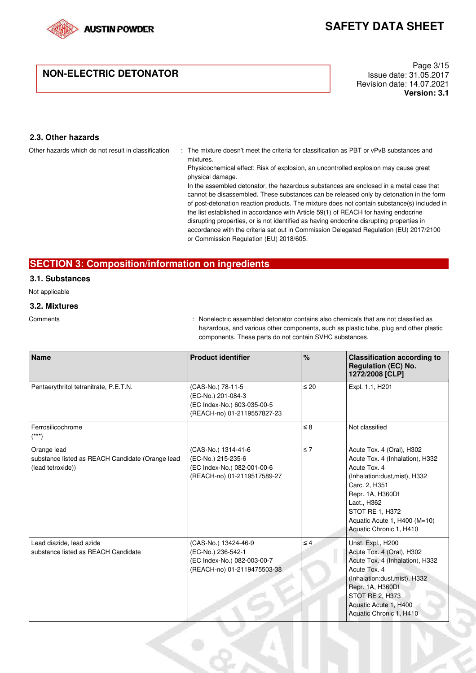

# **NON-ELECTRIC DETONATOR**

Page 3/15 Issue date: 31.05.2017 Revision date: 14.07.2021 **Version: 3.1**

## **2.3. Other hazards**

Other hazards which do not result in classification : The mixture doesn't meet the criteria for classification as PBT or vPvB substances and mixtures.

> Physicochemical effect: Risk of explosion, an uncontrolled explosion may cause great physical damage.

In the assembled detonator, the hazardous substances are enclosed in a metal case that cannot be disassembled. These substances can be released only by detonation in the form of post-detonation reaction products. The mixture does not contain substance(s) included in the list established in accordance with Article 59(1) of REACH for having endocrine disrupting properties, or is not identified as having endocrine disrupting properties in accordance with the criteria set out in Commission Delegated Regulation (EU) 2017/2100 or Commission Regulation (EU) 2018/605.

## **SECTION 3: Composition/information on ingredients**

## **3.1. Substances**

Not applicable

### **3.2. Mixtures**

Comments : Nonelectric assembled detonator contains also chemicals that are not classified as hazardous, and various other components, such as plastic tube, plug and other plastic components. These parts do not contain SVHC substances.

| <b>Name</b>                                                                          | <b>Product identifier</b>                                                                                | %         | <b>Classification according to</b><br><b>Regulation (EC) No.</b><br>1272/2008 [CLP]                                                                                                                                                             |
|--------------------------------------------------------------------------------------|----------------------------------------------------------------------------------------------------------|-----------|-------------------------------------------------------------------------------------------------------------------------------------------------------------------------------------------------------------------------------------------------|
| Pentaerythritol tetranitrate, P.E.T.N.                                               | (CAS-No.) 78-11-5<br>(EC-No.) 201-084-3<br>(EC Index-No.) 603-035-00-5<br>(REACH-no) 01-2119557827-23    | $\leq 20$ | Expl. 1.1, H201                                                                                                                                                                                                                                 |
| Ferrosilicochrome<br>$(***)$                                                         |                                                                                                          | $\leq 8$  | Not classified                                                                                                                                                                                                                                  |
| Orange lead<br>substance listed as REACH Candidate (Orange lead<br>(lead tetroxide)) | (CAS-No.) 1314-41-6<br>(EC-No.) 215-235-6<br>(EC Index-No.) 082-001-00-6<br>(REACH-no) 01-2119517589-27  | $\leq 7$  | Acute Tox. 4 (Oral), H302<br>Acute Tox. 4 (Inhalation), H332<br>Acute Tox. 4<br>(Inhalation:dust, mist), H332<br>Carc. 2. H351<br>Repr. 1A, H360Df<br>Lact., H362<br>STOT RE 1, H372<br>Aquatic Acute 1, H400 (M=10)<br>Aquatic Chronic 1, H410 |
| Lead diazide, lead azide<br>substance listed as REACH Candidate                      | (CAS-No.) 13424-46-9<br>(EC-No.) 236-542-1<br>(EC Index-No.) 082-003-00-7<br>(REACH-no) 01-2119475503-38 | $\leq 4$  | Unst. Expl., H200<br>Acute Tox. 4 (Oral), H302<br>Acute Tox. 4 (Inhalation), H332<br>Acute Tox, 4<br>(Inhalation:dust, mist), H332<br>Repr. 1A, H360Df<br>STOT RE 2, H373<br>Aquatic Acute 1, H400<br>Aquatic Chronic 1, H410                   |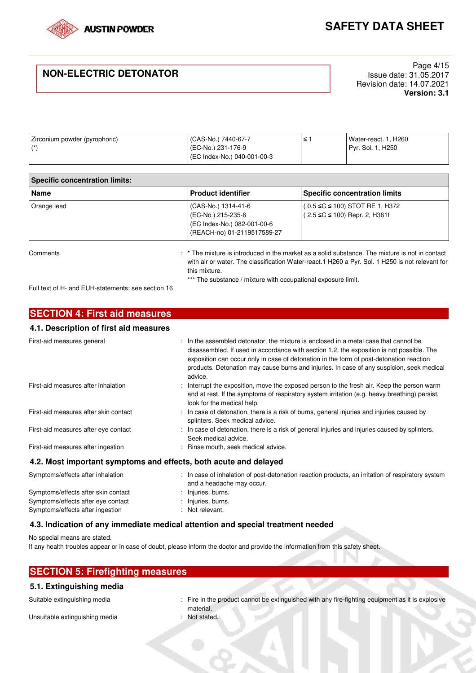

# **NON-ELECTRIC DETONATOR**

Page 4/15 Issue date: 31.05.2017 Revision date: 14.07.2021 **Version: 3.1**

| Zirconium powder (pyrophoric) | CAS-No.) 7440-67-7         | Water-react. 1, H260 |
|-------------------------------|----------------------------|----------------------|
| $4*$                          | (EC-No.) 231-176-9         | Pyr. Sol. 1, H250    |
|                               | EC Index-No.) 040-001-00-3 |                      |

| <b>Specific concentration limits:</b> |                                                                                                         |                                                                                 |
|---------------------------------------|---------------------------------------------------------------------------------------------------------|---------------------------------------------------------------------------------|
| Name                                  | <b>Product identifier</b>                                                                               | <b>Specific concentration limits</b>                                            |
| Orange lead                           | (CAS-No.) 1314-41-6<br>(EC-No.) 215-235-6<br>(EC Index-No.) 082-001-00-6<br>(REACH-no) 01-2119517589-27 | $(0.5 \le C \le 100)$ STOT RE 1, H372<br>$(2.5 \leq C \leq 100)$ Repr. 2, H361f |

Comments **Example 20** is the mixture is introduced in the market as a solid substance. The mixture is not in contact with air or water. The classification Water-react.1 H260 a Pyr. Sol. 1 H250 is not relevant for this mixture. \*\*\* The substance / mixture with occupational exposure limit.

Full text of H- and EUH-statements: see section 16

| <b>SECTION 4: First aid measures</b>   |                                                                                                                                                                                                                                                                                                                                                                                      |
|----------------------------------------|--------------------------------------------------------------------------------------------------------------------------------------------------------------------------------------------------------------------------------------------------------------------------------------------------------------------------------------------------------------------------------------|
| 4.1. Description of first aid measures |                                                                                                                                                                                                                                                                                                                                                                                      |
| First-aid measures general             | : In the assembled detonator, the mixture is enclosed in a metal case that cannot be<br>disassembled. If used in accordance with section 1.2, the exposition is not possible. The<br>exposition can occur only in case of detonation in the form of post-detonation reaction<br>products. Detonation may cause burns and injuries. In case of any suspicion, seek medical<br>advice. |
| First-aid measures after inhalation    | : Interrupt the exposition, move the exposed person to the fresh air. Keep the person warm<br>and at rest. If the symptoms of respiratory system irritation (e.g. heavy breathing) persist,<br>look for the medical help.                                                                                                                                                            |
| First-aid measures after skin contact  | : In case of detonation, there is a risk of burns, general injuries and injuries caused by<br>splinters. Seek medical advice.                                                                                                                                                                                                                                                        |
| First-aid measures after eye contact   | : In case of detonation, there is a risk of general injuries and injuries caused by splinters.<br>Seek medical advice.                                                                                                                                                                                                                                                               |
| First-aid measures after ingestion     | : Rinse mouth, seek medical advice.                                                                                                                                                                                                                                                                                                                                                  |
|                                        | 4.2. Most important symptoms and effects, both acute and delayed                                                                                                                                                                                                                                                                                                                     |
| Symptoms/effects after inhalation      | : In case of inhalation of post-detonation reaction products, an irritation of respiratory system<br>and a headache may occur.                                                                                                                                                                                                                                                       |
| Symptoms/effects after skin contact    | : Injuries, burns.                                                                                                                                                                                                                                                                                                                                                                   |

# Symptoms/effects after ingestion : Not relevant. **4.3. Indication of any immediate medical attention and special treatment needed**

No special means are stated.

If any health troubles appear or in case of doubt, please inform the doctor and provide the information from this safety sheet.

| <b>SECTION 5: Firefighting measures</b> |  |
|-----------------------------------------|--|
|                                         |  |

Symptoms/effects after eye contact : Injuries, burns.

### **5.1. Extinguishing media**

Unsuitable extinguishing media : Not stated.

- Suitable extinguishing media **integrat in the product cannot** be extinguished with any fire-fighting equipment as it is explosive material.
	-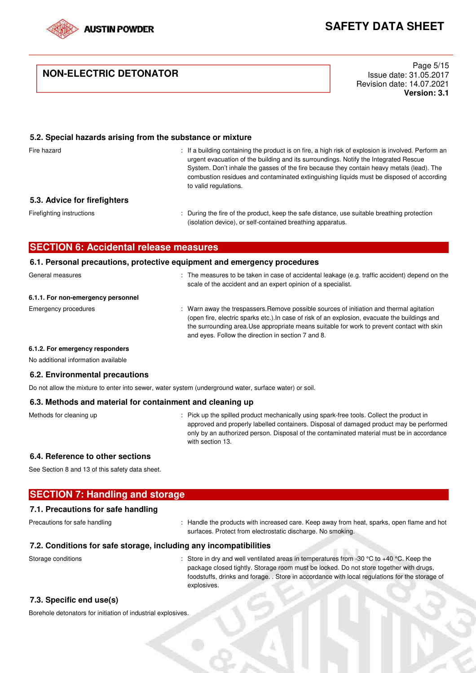

# **NON-ELECTRIC DETONATOR**

Page 5/15 Issue date: 31.05.2017 Revision date: 14.07.2021 **Version: 3.1**

### **5.2. Special hazards arising from the substance or mixture**

Fire hazard **including containing the product is on fire, a high risk of explosion is involved. Perform an** urgent evacuation of the building and its surroundings. Notify the Integrated Rescue System. Don't inhale the gasses of the fire because they contain heavy metals (lead). The combustion residues and contaminated extinguishing liquids must be disposed of according to valid regulations.

### **5.3. Advice for firefighters**

Firefighting instructions : During the fire of the product, keep the safe distance, use suitable breathing protection (isolation device), or self-contained breathing apparatus.

### **SECTION 6: Accidental release measures**

### **6.1. Personal precautions, protective equipment and emergency procedures**

| General measures                   | : The measures to be taken in case of accidental leakage (e.g. traffic accident) depend on the<br>scale of the accident and an expert opinion of a specialist.                                                                                                                                                                                 |
|------------------------------------|------------------------------------------------------------------------------------------------------------------------------------------------------------------------------------------------------------------------------------------------------------------------------------------------------------------------------------------------|
| 6.1.1. For non-emergency personnel |                                                                                                                                                                                                                                                                                                                                                |
| Emergency procedures               | : Warn away the trespassers. Remove possible sources of initiation and thermal agitation<br>(open fire, electric sparks etc.). In case of risk of an explosion, evacuate the buildings and<br>the surrounding area. Use appropriate means suitable for work to prevent contact with skin<br>and eyes. Follow the direction in section 7 and 8. |

#### **6.1.2. For emergency responders**

No additional information available

### **6.2. Environmental precautions**

Do not allow the mixture to enter into sewer, water system (underground water, surface water) or soil.

### **6.3. Methods and material for containment and cleaning up**

Methods for cleaning up : Pick up the spilled product mechanically using spark-free tools. Collect the product in approved and properly labelled containers. Disposal of damaged product may be performed only by an authorized person. Disposal of the contaminated material must be in accordance with section 13.

### **6.4. Reference to other sections**

See Section 8 and 13 of this safety data sheet.

## **SECTION 7: Handling and storage**

### **7.1. Precautions for safe handling**

Precautions for safe handling : Handle the products with increased care. Keep away from heat, sparks, open flame and hot surfaces. Protect from electrostatic discharge. No smoking.

### **7.2. Conditions for safe storage, including any incompatibilities**

Storage conditions : Store in dry and well ventilated areas in temperatures from -30 °C to +40 °C. Keep the package closed tightly. Storage room must be locked. Do not store together with drugs, foodstuffs, drinks and forage. . Store in accordance with local regulations for the storage of explosives.

### **7.3. Specific end use(s)**

Borehole detonators for initiation of industrial explosives.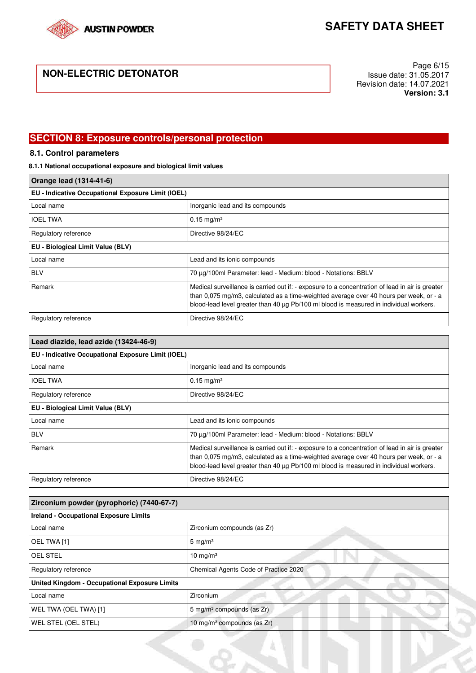

# **NON-ELECTRIC DETONATOR**

Page 6/15 Issue date: 31.05.2017 Revision date: 14.07.2021 **Version: 3.1**

# **SECTION 8: Exposure controls/personal protection**

## **8.1. Control parameters**

## **8.1.1 National occupational exposure and biological limit values**

| Orange lead (1314-41-6)                            |                                                                                                                                                                                                                                                                                     |  |
|----------------------------------------------------|-------------------------------------------------------------------------------------------------------------------------------------------------------------------------------------------------------------------------------------------------------------------------------------|--|
| EU - Indicative Occupational Exposure Limit (IOEL) |                                                                                                                                                                                                                                                                                     |  |
| Local name                                         | Inorganic lead and its compounds                                                                                                                                                                                                                                                    |  |
| <b>IOEL TWA</b>                                    | $0.15 \text{ mg/m}^3$                                                                                                                                                                                                                                                               |  |
| Regulatory reference                               | Directive 98/24/EC                                                                                                                                                                                                                                                                  |  |
| EU - Biological Limit Value (BLV)                  |                                                                                                                                                                                                                                                                                     |  |
| Local name                                         | Lead and its ionic compounds                                                                                                                                                                                                                                                        |  |
| <b>BLV</b>                                         | 70 μg/100ml Parameter: lead - Medium: blood - Notations: BBLV                                                                                                                                                                                                                       |  |
| Remark                                             | Medical surveillance is carried out if: - exposure to a concentration of lead in air is greater<br>than 0,075 mg/m3, calculated as a time-weighted average over 40 hours per week, or - a<br>blood-lead level greater than 40 µg Pb/100 ml blood is measured in individual workers. |  |
| Regulatory reference                               | Directive 98/24/EC                                                                                                                                                                                                                                                                  |  |

| Lead diazide, lead azide (13424-46-9)              |                                                                                                                                                                                                                                                                                     |  |
|----------------------------------------------------|-------------------------------------------------------------------------------------------------------------------------------------------------------------------------------------------------------------------------------------------------------------------------------------|--|
| EU - Indicative Occupational Exposure Limit (IOEL) |                                                                                                                                                                                                                                                                                     |  |
| Local name                                         | Inorganic lead and its compounds                                                                                                                                                                                                                                                    |  |
| <b>IOEL TWA</b>                                    | $0.15 \text{ mg/m}^3$                                                                                                                                                                                                                                                               |  |
| Regulatory reference                               | Directive 98/24/EC                                                                                                                                                                                                                                                                  |  |
| EU - Biological Limit Value (BLV)                  |                                                                                                                                                                                                                                                                                     |  |
| Local name                                         | Lead and its ionic compounds                                                                                                                                                                                                                                                        |  |
| <b>BLV</b>                                         | 70 μg/100ml Parameter: lead - Medium: blood - Notations: BBLV                                                                                                                                                                                                                       |  |
| Remark                                             | Medical surveillance is carried out if: - exposure to a concentration of lead in air is greater<br>than 0,075 mg/m3, calculated as a time-weighted average over 40 hours per week, or - a<br>blood-lead level greater than 40 µg Pb/100 ml blood is measured in individual workers. |  |
| Regulatory reference                               | Directive 98/24/EC                                                                                                                                                                                                                                                                  |  |

| Zirconium powder (pyrophoric) (7440-67-7)<br><b>Ireland - Occupational Exposure Limits</b> |                                           |  |
|--------------------------------------------------------------------------------------------|-------------------------------------------|--|
|                                                                                            |                                           |  |
| OEL TWA [1]                                                                                | $5 \text{ mg/m}^3$                        |  |
| <b>OEL STEL</b>                                                                            | $10 \text{ mg/m}^3$                       |  |
| Regulatory reference                                                                       | Chemical Agents Code of Practice 2020     |  |
| <b>United Kingdom - Occupational Exposure Limits</b>                                       |                                           |  |
| Local name                                                                                 | Zirconium                                 |  |
| WEL TWA (OEL TWA) [1]                                                                      | 5 mg/m <sup>3</sup> compounds (as Zr)     |  |
| WEL STEL (OEL STEL)                                                                        | 10 mg/m <sup>3</sup> compounds (as $Zr$ ) |  |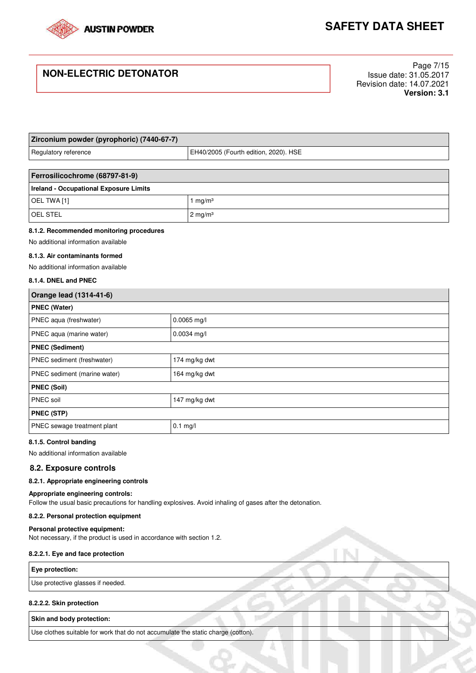

# **NON-ELECTRIC DETONATOR**

Page 7/15 Issue date: 31.05.2017 Revision date: 14.07.2021 **Version: 3.1**

| Zirconium powder (pyrophoric) (7440-67-7)                     |                              |  |
|---------------------------------------------------------------|------------------------------|--|
| EH40/2005 (Fourth edition, 2020). HSE<br>Regulatory reference |                              |  |
|                                                               |                              |  |
| Ferrosilicochrome (68797-81-9)                                |                              |  |
| <b>Ireland - Occupational Exposure Limits</b>                 |                              |  |
| OEL TWA [1]                                                   | $\mathsf{Im} q/\mathsf{m}^3$ |  |

#### **8.1.2. Recommended monitoring procedures**

OEL STEL 2 mg/m<sup>3</sup>

No additional information available

#### **8.1.3. Air contaminants formed**

No additional information available

#### **8.1.4. DNEL and PNEC**

| Orange lead (1314-41-6)      |               |  |
|------------------------------|---------------|--|
| <b>PNEC (Water)</b>          |               |  |
| PNEC aqua (freshwater)       | $0.0065$ mg/l |  |
| PNEC aqua (marine water)     | 0.0034 mg/l   |  |
| <b>PNEC (Sediment)</b>       |               |  |
| PNEC sediment (freshwater)   | 174 mg/kg dwt |  |
| PNEC sediment (marine water) | 164 mg/kg dwt |  |
| <b>PNEC (Soil)</b>           |               |  |
| PNEC soil                    | 147 mg/kg dwt |  |
| <b>PNEC (STP)</b>            |               |  |
| PNEC sewage treatment plant  | $0.1$ mg/l    |  |

#### **8.1.5. Control banding**

No additional information available

#### **8.2. Exposure controls**

### **8.2.1. Appropriate engineering controls**

### **Appropriate engineering controls:**

Follow the usual basic precautions for handling explosives. Avoid inhaling of gases after the detonation.

#### **8.2.2. Personal protection equipment**

#### **Personal protective equipment:**

Not necessary, if the product is used in accordance with section 1.2.

#### **8.2.2.1. Eye and face protection**

#### **Eye protection:**

Use protective glasses if needed.

#### **8.2.2.2. Skin protection**

**Skin and body protection:** 

Use clothes suitable for work that do not accumulate the static charge (cotton).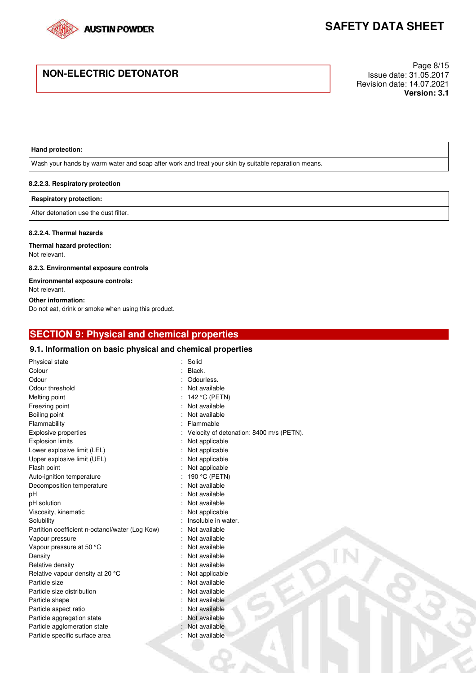

# **NON-ELECTRIC DETONATOR**

Page 8/15 Issue date: 31.05.2017 Revision date: 14.07.2021 **Version: 3.1**

### **Hand protection:**

Wash your hands by warm water and soap after work and treat your skin by suitable reparation means.

#### **8.2.2.3. Respiratory protection**

#### **Respiratory protection:**

After detonation use the dust filter.

#### **8.2.2.4. Thermal hazards**

#### **Thermal hazard protection:**  Not relevant.

**8.2.3. Environmental exposure controls** 

#### **Environmental exposure controls:**  Not relevant.

# **Other information:**

Do not eat, drink or smoke when using this product.

# **SECTION 9: Physical and chemical properties**

### **9.1. Information on basic physical and chemical properties**

| Physical state                                  | Solid                                    |
|-------------------------------------------------|------------------------------------------|
| Colour                                          | Black.                                   |
| Odour                                           | Odourless.                               |
| Odour threshold                                 | Not available                            |
| Melting point                                   | 142 °C (PETN)                            |
| Freezing point                                  | Not available                            |
| Boiling point                                   | Not available                            |
| Flammability                                    | Flammable                                |
| <b>Explosive properties</b>                     | Velocity of detonation: 8400 m/s (PETN). |
| <b>Explosion limits</b>                         | Not applicable                           |
| Lower explosive limit (LEL)                     | Not applicable                           |
| Upper explosive limit (UEL)                     | Not applicable                           |
| Flash point                                     | Not applicable                           |
| Auto-ignition temperature                       | 190 °C (PETN)                            |
| Decomposition temperature                       | Not available                            |
| рH                                              | Not available                            |
| pH solution                                     | Not available                            |
| Viscosity, kinematic                            | Not applicable                           |
| Solubility                                      | Insoluble in water.                      |
| Partition coefficient n-octanol/water (Log Kow) | Not available                            |
| Vapour pressure                                 | Not available                            |
| Vapour pressure at 50 °C                        | Not available                            |
| Density                                         | Not available                            |
| Relative density                                | Not available                            |
| Relative vapour density at 20 °C                | Not applicable                           |
| Particle size                                   | Not available                            |
| Particle size distribution                      | Not available                            |
| Particle shape                                  | Not available                            |
| Particle aspect ratio                           | Not available                            |
| Particle aggregation state                      | Not available                            |
| Particle agglomeration state                    | Not available                            |
| Particle specific surface area                  | Not available                            |
|                                                 |                                          |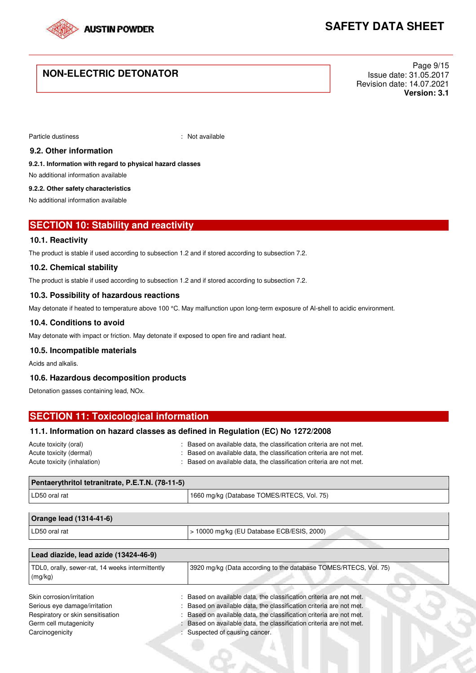

# **NON-ELECTRIC DETONATOR**

Page 9/15 Issue date: 31.05.2017 Revision date: 14.07.2021 **Version: 3.1**

Particle dustiness in the contract of the contract of the Particle dustiness in the contract of the contract of the contract of the contract of the contract of the contract of the contract of the contract of the contract o

### **9.2. Other information**

**9.2.1. Information with regard to physical hazard classes** 

No additional information available

#### **9.2.2. Other safety characteristics**

No additional information available

## **SECTION 10: Stability and reactivity**

### **10.1. Reactivity**

The product is stable if used according to subsection 1.2 and if stored according to subsection 7.2.

### **10.2. Chemical stability**

The product is stable if used according to subsection 1.2 and if stored according to subsection 7.2.

### **10.3. Possibility of hazardous reactions**

May detonate if heated to temperature above 100 °C. May malfunction upon long-term exposure of Al-shell to acidic environment.

### **10.4. Conditions to avoid**

May detonate with impact or friction. May detonate if exposed to open fire and radiant heat.

### **10.5. Incompatible materials**

Acids and alkalis.

### **10.6. Hazardous decomposition products**

Detonation gasses containing lead, NOx.

| <b>SECTION 11: Toxicological information</b> |                                                                                |  |
|----------------------------------------------|--------------------------------------------------------------------------------|--|
|                                              | 11.1. Information on hazard classes as defined in Regulation (EC) No 1272/2008 |  |
| Acute tovicity (oral)                        | . Recod on available data the classification criteria are not met              |  |

| Acute toxicity (oral)       | : Based on available data, the classification criteria are not met. |
|-----------------------------|---------------------------------------------------------------------|
| Acute toxicity (dermal)     | : Based on available data, the classification criteria are not met. |
| Acute toxicity (inhalation) | : Based on available data, the classification criteria are not met. |

| Pentaerythritol tetranitrate, P.E.T.N. (78-11-5)            |                                                                  |  |
|-------------------------------------------------------------|------------------------------------------------------------------|--|
| LD50 oral rat                                               | 1660 mg/kg (Database TOMES/RTECS, Vol. 75)                       |  |
|                                                             |                                                                  |  |
| Orange lead (1314-41-6)                                     |                                                                  |  |
| LD50 oral rat                                               | $>$ 10000 mg/kg (EU Database ECB/ESIS, 2000)                     |  |
|                                                             |                                                                  |  |
| Lead diazide, lead azide (13424-46-9)                       |                                                                  |  |
| TDL0, orally, sewer-rat, 14 weeks intermittently<br>(mg/kg) | 3920 mg/kg (Data according to the database TOMES/RTECS, Vol. 75) |  |

| Skin corrosion/irritation         | : Based on available data, the classification criteria are not met. |  |
|-----------------------------------|---------------------------------------------------------------------|--|
| Serious eye damage/irritation     | : Based on available data, the classification criteria are not met. |  |
| Respiratory or skin sensitisation | Based on available data, the classification criteria are not met.   |  |
| Germ cell mutagenicity            | Based on available data, the classification criteria are not met.   |  |
| Carcinogenicity                   | Suspected of causing cancer.                                        |  |
|                                   |                                                                     |  |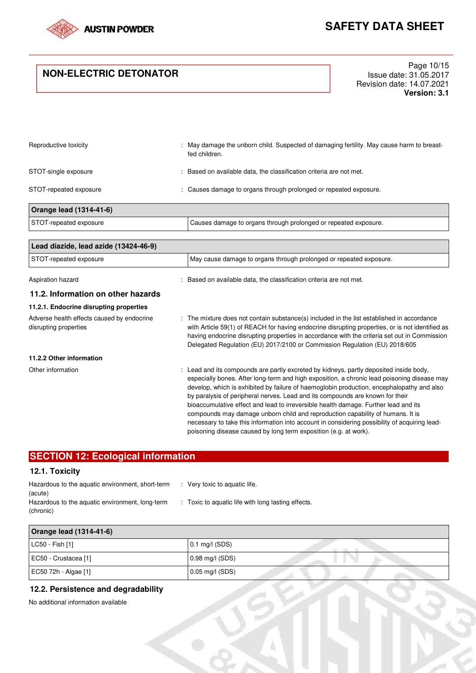

# **NON-ELECTRIC DETONATOR**

Page 10/15 Issue date: 31.05.2017 Revision date: 14.07.2021 **Version: 3.1**

| Reproductive toxicity   | : May damage the unborn child. Suspected of damaging fertility. May cause harm to breast-<br>fed children. |
|-------------------------|------------------------------------------------------------------------------------------------------------|
| STOT-single exposure    | Based on available data, the classification criteria are not met.                                          |
| STOT-repeated exposure  | : Causes damage to organs through prolonged or repeated exposure.                                          |
| Orange lead (1314-41-6) |                                                                                                            |
| STOT-repeated exposure  | Causes damage to organs through prolonged or repeated exposure.                                            |

| Lead diazide, lead azide (13424-46-9)                               |                                                                                                                                                                                                                                                                                                                                                                                                                                                                                                                                                                                                                                                                                                                   |  |
|---------------------------------------------------------------------|-------------------------------------------------------------------------------------------------------------------------------------------------------------------------------------------------------------------------------------------------------------------------------------------------------------------------------------------------------------------------------------------------------------------------------------------------------------------------------------------------------------------------------------------------------------------------------------------------------------------------------------------------------------------------------------------------------------------|--|
| STOT-repeated exposure                                              | May cause damage to organs through prolonged or repeated exposure.                                                                                                                                                                                                                                                                                                                                                                                                                                                                                                                                                                                                                                                |  |
| Aspiration hazard                                                   | : Based on available data, the classification criteria are not met.                                                                                                                                                                                                                                                                                                                                                                                                                                                                                                                                                                                                                                               |  |
| 11.2. Information on other hazards                                  |                                                                                                                                                                                                                                                                                                                                                                                                                                                                                                                                                                                                                                                                                                                   |  |
| 11.2.1. Endocrine disrupting properties                             |                                                                                                                                                                                                                                                                                                                                                                                                                                                                                                                                                                                                                                                                                                                   |  |
| Adverse health effects caused by endocrine<br>disrupting properties | : The mixture does not contain substance(s) included in the list established in accordance<br>with Article 59(1) of REACH for having endocrine disrupting properties, or is not identified as<br>having endocrine disrupting properties in accordance with the criteria set out in Commission<br>Delegated Regulation (EU) 2017/2100 or Commission Regulation (EU) 2018/605                                                                                                                                                                                                                                                                                                                                       |  |
| 11.2.2 Other information                                            |                                                                                                                                                                                                                                                                                                                                                                                                                                                                                                                                                                                                                                                                                                                   |  |
| Other information                                                   | : Lead and its compounds are partly excreted by kidneys, partly deposited inside body,<br>especially bones. After long-term and high exposition, a chronic lead poisoning disease may<br>develop, which is exhibited by failure of haemoglobin production, encephalopathy and also<br>by paralysis of peripheral nerves. Lead and its compounds are known for their<br>bioaccumulative effect and lead to irreversible health damage. Further lead and its<br>compounds may damage unborn child and reproduction capability of humans. It is<br>necessary to take this information into account in considering possibility of acquiring lead-<br>poisoning disease caused by long term exposition (e.g. at work). |  |

# **SECTION 12: Ecological information**

## **12.1. Toxicity**

| Hazardous to the aquatic environment, short-term | : Very toxic to aquatic life.                      |
|--------------------------------------------------|----------------------------------------------------|
| (acute)                                          |                                                    |
| Hazardous to the aquatic environment, long-term  | : Toxic to aquatic life with long lasting effects. |
| (chronic)                                        |                                                    |

| Orange lead (1314-41-6) |                   |  |  |  |
|-------------------------|-------------------|--|--|--|
| LC50 - Fish [1]         | $0.1$ mg/l (SDS)  |  |  |  |
| EC50 - Crustacea [1]    | $0.98$ mg/l (SDS) |  |  |  |
| EC50 72h - Algae [1]    | $0.05$ mg/l (SDS) |  |  |  |

### **12.2. Persistence and degradability**

No additional information available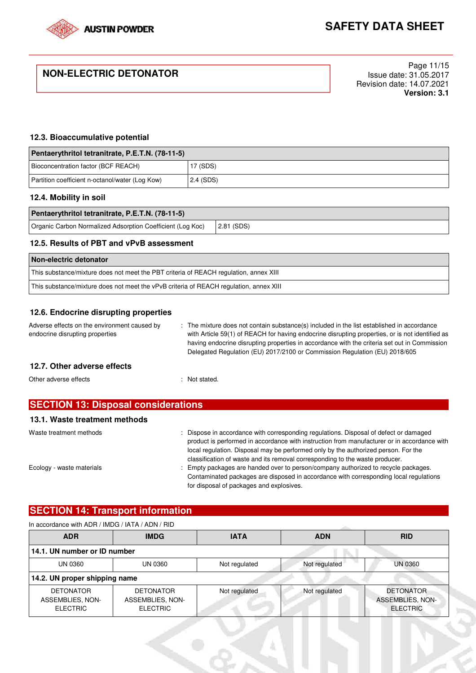

# **NON-ELECTRIC DETONATOR**

Page 11/15 Issue date: 31.05.2017 Revision date: 14.07.2021 **Version: 3.1**

### **12.3. Bioaccumulative potential**

| Pentaerythritol tetranitrate, P.E.T.N. (78-11-5) |           |  |
|--------------------------------------------------|-----------|--|
| Bioconcentration factor (BCF REACH)              | 17 (SDS)  |  |
| Partition coefficient n-octanol/water (Log Kow)  | 2.4 (SDS) |  |

### **12.4. Mobility in soil**

| Pentaerythritol tetranitrate, P.E.T.N. (78-11-5)           |               |
|------------------------------------------------------------|---------------|
| Organic Carbon Normalized Adsorption Coefficient (Log Koc) | $ 2.81$ (SDS) |

## **12.5. Results of PBT and vPvB assessment**

| Non-electric detonator                                                                 |
|----------------------------------------------------------------------------------------|
| This substance/mixture does not meet the PBT criteria of REACH regulation, annex XIII  |
| This substance/mixture does not meet the vPvB criteria of REACH regulation, annex XIII |

## **12.6. Endocrine disrupting properties**

Adverse effects on the environment caused by endocrine disrupting properties : The mixture does not contain substance(s) included in the list established in accordance with Article 59(1) of REACH for having endocrine disrupting properties, or is not identified as having endocrine disrupting properties in accordance with the criteria set out in Commission

## **12.7. Other adverse effects**

Other adverse effects in the state of the state of the state of the state of the state of the state of the state of the state of the state of the state of the state of the state of the state of the state of the state of th

| <b>SECTION 13: Disposal considerations</b> |                                                                                                                                                                                                                                                                                                                                                          |  |
|--------------------------------------------|----------------------------------------------------------------------------------------------------------------------------------------------------------------------------------------------------------------------------------------------------------------------------------------------------------------------------------------------------------|--|
| 13.1. Waste treatment methods              |                                                                                                                                                                                                                                                                                                                                                          |  |
| Waste treatment methods                    | Dispose in accordance with corresponding regulations. Disposal of defect or damaged<br>product is performed in accordance with instruction from manufacturer or in accordance with<br>local regulation. Disposal may be performed only by the authorized person. For the<br>classification of waste and its removal corresponding to the waste producer. |  |
| Ecology - waste materials                  | Empty packages are handed over to person/company authorized to recycle packages.                                                                                                                                                                                                                                                                         |  |

Contaminated packages are disposed in accordance with corresponding local regulations for disposal of packages and explosives.

Delegated Regulation (EU) 2017/2100 or Commission Regulation (EU) 2018/605

# **SECTION 14: Transport information**

### In accordance with ADR / IMDG / IATA / ADN / RID

| <b>ADR</b>                                              | <b>IMDG</b>                                             | <b>IATA</b>   | <b>ADN</b>    | <b>RID</b>                                              |
|---------------------------------------------------------|---------------------------------------------------------|---------------|---------------|---------------------------------------------------------|
| 14.1. UN number or ID number                            |                                                         |               |               |                                                         |
| UN 0360                                                 | UN 0360                                                 | Not regulated | Not regulated | <b>UN 0360</b>                                          |
| 14.2. UN proper shipping name                           |                                                         |               |               |                                                         |
| <b>DETONATOR</b><br>ASSEMBLIES, NON-<br><b>ELECTRIC</b> | <b>DETONATOR</b><br>ASSEMBLIES, NON-<br><b>ELECTRIC</b> | Not regulated | Not regulated | <b>DETONATOR</b><br>ASSEMBLIES, NON-<br><b>ELECTRIC</b> |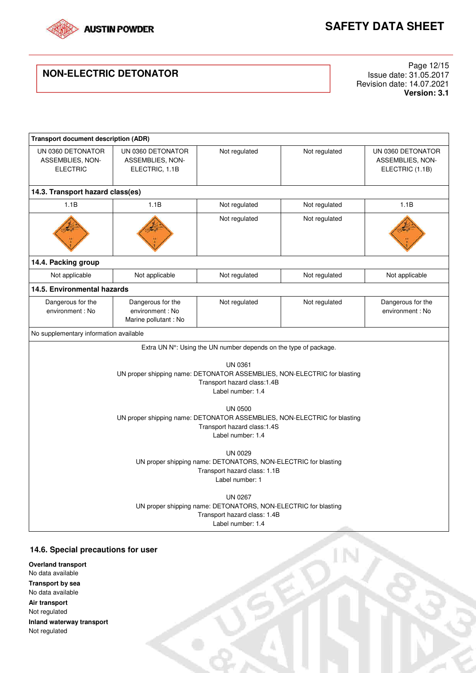

IN

# **NON-ELECTRIC DETONATOR**

Page 12/15 Issue date: 31.05.2017 Revision date: 14.07.2021 **Version: 3.1**

| <b>Transport document description (ADR)</b>                                                                                                                                                                                                                                  |                                                                                                                                                                                                                                                                                                  |                                                                            |               |                                                          |
|------------------------------------------------------------------------------------------------------------------------------------------------------------------------------------------------------------------------------------------------------------------------------|--------------------------------------------------------------------------------------------------------------------------------------------------------------------------------------------------------------------------------------------------------------------------------------------------|----------------------------------------------------------------------------|---------------|----------------------------------------------------------|
| UN 0360 DETONATOR<br>ASSEMBLIES, NON-<br><b>ELECTRIC</b>                                                                                                                                                                                                                     | UN 0360 DETONATOR<br>ASSEMBLIES, NON-<br>ELECTRIC, 1.1B                                                                                                                                                                                                                                          | Not regulated                                                              | Not regulated | UN 0360 DETONATOR<br>ASSEMBLIES, NON-<br>ELECTRIC (1.1B) |
| 14.3. Transport hazard class(es)                                                                                                                                                                                                                                             |                                                                                                                                                                                                                                                                                                  |                                                                            |               |                                                          |
| 1.1B                                                                                                                                                                                                                                                                         | 1.1B                                                                                                                                                                                                                                                                                             | Not regulated                                                              | Not regulated | 1.1B                                                     |
|                                                                                                                                                                                                                                                                              |                                                                                                                                                                                                                                                                                                  | Not regulated                                                              | Not regulated |                                                          |
| 14.4. Packing group                                                                                                                                                                                                                                                          |                                                                                                                                                                                                                                                                                                  |                                                                            |               |                                                          |
| Not applicable                                                                                                                                                                                                                                                               | Not applicable                                                                                                                                                                                                                                                                                   | Not regulated                                                              | Not regulated | Not applicable                                           |
| 14.5. Environmental hazards                                                                                                                                                                                                                                                  |                                                                                                                                                                                                                                                                                                  |                                                                            |               |                                                          |
| Dangerous for the<br>environment: No                                                                                                                                                                                                                                         | Dangerous for the<br>environment: No<br>Marine pollutant: No                                                                                                                                                                                                                                     | Not regulated                                                              | Not regulated | Dangerous for the<br>environment: No                     |
| No supplementary information available                                                                                                                                                                                                                                       |                                                                                                                                                                                                                                                                                                  |                                                                            |               |                                                          |
|                                                                                                                                                                                                                                                                              |                                                                                                                                                                                                                                                                                                  | Extra UN $N^{\circ}$ : Using the UN number depends on the type of package. |               |                                                          |
|                                                                                                                                                                                                                                                                              | <b>UN 0361</b><br>UN proper shipping name: DETONATOR ASSEMBLIES, NON-ELECTRIC for blasting<br>Transport hazard class:1.4B<br>Label number: 1.4<br><b>UN 0500</b><br>UN proper shipping name: DETONATOR ASSEMBLIES, NON-ELECTRIC for blasting<br>Transport hazard class:1.4S<br>Label number: 1.4 |                                                                            |               |                                                          |
| <b>UN 0029</b><br>UN proper shipping name: DETONATORS, NON-ELECTRIC for blasting<br>Transport hazard class: 1.1B<br>Label number: 1<br><b>UN 0267</b><br>UN proper shipping name: DETONATORS, NON-ELECTRIC for blasting<br>Transport hazard class: 1.4B<br>Label number: 1.4 |                                                                                                                                                                                                                                                                                                  |                                                                            |               |                                                          |

## **14.6. Special precautions for user**

**Overland transport**  No data available **Transport by sea**  No data available **Air transport**  Not regulated **Inland waterway transport**  Not regulated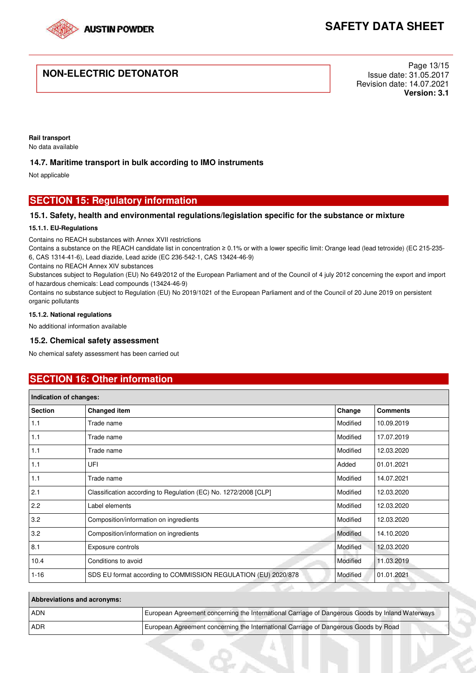

# **NON-ELECTRIC DETONATOR**

Page 13/15 Issue date: 31.05.2017 Revision date: 14.07.2021 **Version: 3.1**

**Rail transport**  No data available

### **14.7. Maritime transport in bulk according to IMO instruments**

Not applicable

## **SECTION 15: Regulatory information**

### **15.1. Safety, health and environmental regulations/legislation specific for the substance or mixture**

#### **15.1.1. EU-Regulations**

Contains no REACH substances with Annex XVII restrictions

Contains a substance on the REACH candidate list in concentration ≥ 0.1% or with a lower specific limit: Orange lead (lead tetroxide) (EC 215-235- 6, CAS 1314-41-6), Lead diazide, Lead azide (EC 236-542-1, CAS 13424-46-9)

Contains no REACH Annex XIV substances

Substances subject to Regulation (EU) No 649/2012 of the European Parliament and of the Council of 4 july 2012 concerning the export and import of hazardous chemicals: Lead compounds (13424-46-9)

Contains no substance subject to Regulation (EU) No 2019/1021 of the European Parliament and of the Council of 20 June 2019 on persistent organic pollutants

#### **15.1.2. National regulations**

No additional information available

### **15.2. Chemical safety assessment**

No chemical safety assessment has been carried out

# **SECTION 16: Other information**

| Indication of changes: |                                                                 |          |                 |
|------------------------|-----------------------------------------------------------------|----------|-----------------|
| <b>Section</b>         | <b>Changed item</b>                                             | Change   | <b>Comments</b> |
| 1.1                    | Trade name                                                      | Modified | 10.09.2019      |
| 1.1                    | Trade name                                                      | Modified | 17.07.2019      |
| 1.1                    | Trade name                                                      | Modified | 12.03.2020      |
| 1.1                    | UFI                                                             | Added    | 01.01.2021      |
| 1.1                    | Trade name                                                      | Modified | 14.07.2021      |
| 2.1                    | Classification according to Regulation (EC) No. 1272/2008 [CLP] | Modified | 12.03.2020      |
| 2.2                    | Label elements                                                  | Modified | 12.03.2020      |
| 3.2                    | Composition/information on ingredients                          | Modified | 12.03.2020      |
| 3.2                    | Composition/information on ingredients                          | Modified | 14.10.2020      |
| 8.1                    | Exposure controls                                               | Modified | 12.03.2020      |
| 10.4                   | Conditions to avoid                                             | Modified | 11.03.2019      |
| $1 - 16$               | SDS EU format according to COMMISSION REGULATION (EU) 2020/878  | Modified | 01.01.2021      |

| <b>Abbreviations and acronyms:</b> |                                                                                                 |
|------------------------------------|-------------------------------------------------------------------------------------------------|
| <b>ADN</b>                         | European Agreement concerning the International Carriage of Dangerous Goods by Inland Waterways |
| l ADR                              | European Agreement concerning the International Carriage of Dangerous Goods by Road             |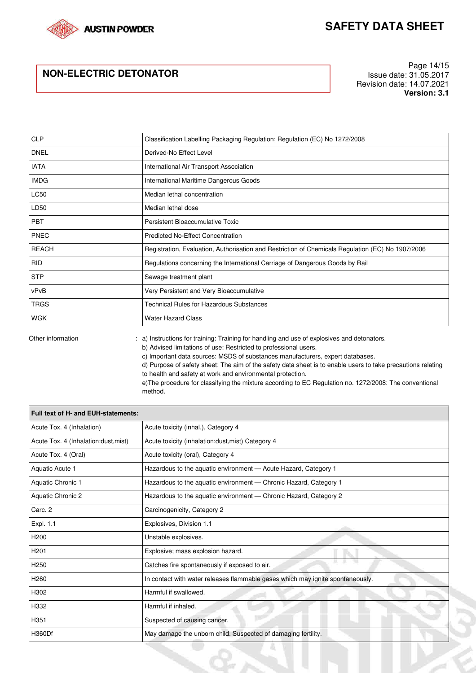

# **NON-ELECTRIC DETONATOR**

Page 14/15 Issue date: 31.05.2017 Revision date: 14.07.2021 **Version: 3.1**

| CLP          | Classification Labelling Packaging Regulation; Regulation (EC) No 1272/2008                       |  |
|--------------|---------------------------------------------------------------------------------------------------|--|
| <b>DNEL</b>  | Derived-No Effect Level                                                                           |  |
| <b>IATA</b>  | International Air Transport Association                                                           |  |
| <b>IMDG</b>  | International Maritime Dangerous Goods                                                            |  |
| <b>LC50</b>  | Median lethal concentration                                                                       |  |
| LD50         | Median lethal dose                                                                                |  |
| <b>PBT</b>   | Persistent Bioaccumulative Toxic                                                                  |  |
| <b>PNEC</b>  | <b>Predicted No-Effect Concentration</b>                                                          |  |
| <b>REACH</b> | Registration, Evaluation, Authorisation and Restriction of Chemicals Regulation (EC) No 1907/2006 |  |
| <b>RID</b>   | Regulations concerning the International Carriage of Dangerous Goods by Rail                      |  |
| <b>STP</b>   | Sewage treatment plant                                                                            |  |
| vPvB         | Very Persistent and Very Bioaccumulative                                                          |  |
| <b>TRGS</b>  | Technical Rules for Hazardous Substances                                                          |  |
| <b>WGK</b>   | <b>Water Hazard Class</b>                                                                         |  |

Other information : a) Instructions for training: Training for handling and use of explosives and detonators. b) Advised limitations of use: Restricted to professional users. c) Important data sources: MSDS of substances manufacturers, expert databases. d) Purpose of safety sheet: The aim of the safety data sheet is to enable users to take precautions relating to health and safety at work and environmental protection. e)The procedure for classifying the mixture according to EC Regulation no. 1272/2008: The conventional method.

| Full text of H- and EUH-statements:  |                                                                                |
|--------------------------------------|--------------------------------------------------------------------------------|
| Acute Tox. 4 (Inhalation)            | Acute toxicity (inhal.), Category 4                                            |
| Acute Tox. 4 (Inhalation:dust, mist) | Acute toxicity (inhalation:dust, mist) Category 4                              |
| Acute Tox. 4 (Oral)                  | Acute toxicity (oral), Category 4                                              |
| Aquatic Acute 1                      | Hazardous to the aquatic environment - Acute Hazard, Category 1                |
| Aquatic Chronic 1                    | Hazardous to the aquatic environment - Chronic Hazard, Category 1              |
| Aquatic Chronic 2                    | Hazardous to the aquatic environment - Chronic Hazard, Category 2              |
| Carc. 2                              | Carcinogenicity, Category 2                                                    |
| Expl. 1.1                            | Explosives, Division 1.1                                                       |
| H <sub>200</sub>                     | Unstable explosives.                                                           |
| H <sub>201</sub>                     | Explosive; mass explosion hazard.                                              |
| H <sub>250</sub>                     | м.<br><b>SALE</b><br>Catches fire spontaneously if exposed to air.             |
| H <sub>260</sub>                     | In contact with water releases flammable gases which may ignite spontaneously. |
| H302                                 | Harmful if swallowed.                                                          |
| H332                                 | Harmful if inhaled.                                                            |
| H351                                 | Suspected of causing cancer.                                                   |
| H360Df                               | May damage the unborn child. Suspected of damaging fertility.                  |